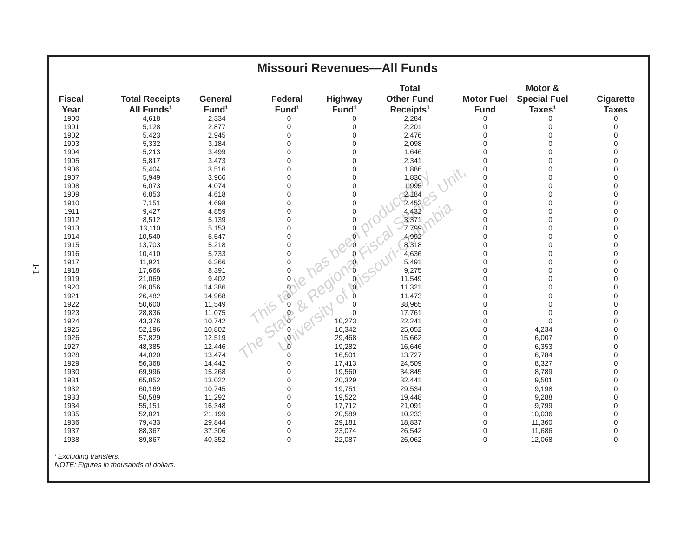| <b>Missouri Revenues-All Funds</b> |                                                 |                                     |                                       |                              |                                                            |                                  |                                                      |                                  |  |  |
|------------------------------------|-------------------------------------------------|-------------------------------------|---------------------------------------|------------------------------|------------------------------------------------------------|----------------------------------|------------------------------------------------------|----------------------------------|--|--|
| <b>Fiscal</b><br>Year              | <b>Total Receipts</b><br>All Funds <sup>1</sup> | <b>General</b><br>Fund <sup>1</sup> | <b>Federal</b><br>Fund <sup>1</sup>   | Highway<br>Fund <sup>1</sup> | <b>Total</b><br><b>Other Fund</b><br>Receipts <sup>1</sup> | <b>Motor Fuel</b><br><b>Fund</b> | Motor &<br><b>Special Fuel</b><br>Taxes <sup>1</sup> | <b>Cigarette</b><br><b>Taxes</b> |  |  |
| 1900                               | 4,618                                           | 2,334                               | $\mathbf 0$                           | 0                            | 2,284                                                      | $\boldsymbol{0}$                 | 0                                                    | 0                                |  |  |
| 1901                               | 5,128                                           | 2,877                               | $\mathbf 0$                           | $\mathbf 0$                  | 2,201                                                      | $\mathbf 0$                      | 0                                                    | $\mathbf 0$                      |  |  |
| 1902                               | 5,423                                           | 2,945                               | $\mathbf 0$                           | 0                            | 2,476                                                      | $\mathbf 0$                      | 0                                                    | $\mathbf 0$                      |  |  |
| 1903                               | 5,332                                           | 3,184                               | $\Omega$                              | 0                            | 2,098                                                      | $\mathbf 0$                      | $\Omega$                                             | 0                                |  |  |
| 1904                               | 5,213                                           | 3,499                               | $\mathbf 0$                           | 0                            | 1,646                                                      | $\overline{0}$                   | $\mathbf 0$                                          | 0                                |  |  |
| 1905                               | 5,817                                           | 3,473                               | $\mathbf 0$                           | 0                            | 2,341                                                      | $\mathbf 0$                      | $\mathbf 0$                                          | 0                                |  |  |
| 1906                               | 5,404                                           | 3,516                               | $\Omega$                              | 0                            | 1,886                                                      | $\Omega$                         | $\Omega$                                             | 0                                |  |  |
| 1907                               | 5,949                                           | 3,966                               | $\Omega$                              | 0                            | 1,836                                                      | $\overline{0}$                   | $\mathbf 0$                                          | 0                                |  |  |
| 1908                               | 6,073                                           | 4,074                               | $\mathbf 0$                           | 0                            | 1,995                                                      | $\overline{0}$                   | 0                                                    | $\Omega$                         |  |  |
| 1909                               | 6,853                                           | 4,618                               | $\mathbf 0$                           | 0                            | 2,184                                                      | $\mathbf 0$                      | $\mathbf 0$                                          | 0                                |  |  |
| 1910                               | 7,151                                           | 4,698                               | $\Omega$                              | 0                            | 2,452                                                      | $\mathbf 0$                      | $\mathbf 0$                                          | 0                                |  |  |
| 1911                               | 9,427                                           | 4,859                               | $\Omega$                              | $\Omega$                     | 4,432                                                      | $\overline{0}$                   | $\Omega$                                             | $\Omega$                         |  |  |
| 1912                               | 8,512                                           | 5,139                               |                                       |                              | 3,371                                                      | $\mathbf 0$                      | 0                                                    | 0                                |  |  |
| 1913                               | 13,110                                          | 5,153                               |                                       |                              |                                                            | $\mathbf 0$                      | $\mathbf 0$                                          | 0                                |  |  |
| 1914                               | 10,540                                          | 5,547                               |                                       |                              |                                                            | $\mathbf 0$                      | 0                                                    | 0                                |  |  |
| 1915                               | 13,703                                          | 5,218                               |                                       |                              |                                                            | $\mathbf 0$                      | $\Omega$                                             | $\Omega$                         |  |  |
| 1916                               | 10,410                                          | 5,733                               |                                       |                              |                                                            | $\overline{0}$                   | 0                                                    | $\Omega$                         |  |  |
| 1917                               | 11,921                                          | 6,366                               | This job pas beginning is our to day. |                              |                                                            | $\mathbf 0$                      | 0                                                    | 0                                |  |  |
| 1918                               | 17,666                                          | 8,391                               |                                       |                              |                                                            | $\mathbf 0$                      | $\Omega$                                             | 0                                |  |  |
| 1919                               | 21,069                                          | 9,402                               |                                       |                              |                                                            | $\mathbf 0$                      | $\mathbf 0$                                          | 0                                |  |  |
| 1920                               | 26,056                                          | 14,386                              |                                       |                              |                                                            | $\mathbf 0$                      | $\overline{0}$                                       | 0                                |  |  |
| 1921                               | 26,482                                          | 14,968                              |                                       |                              |                                                            | $\mathbf 0$                      | $\mathbf 0$                                          | 0                                |  |  |
| 1922                               | 50,600                                          | 11,549                              |                                       |                              |                                                            | $\mathbf 0$                      | $\mathbf 0$                                          | $\Omega$                         |  |  |
| 1923                               | 28,836                                          | 11,075                              |                                       |                              |                                                            | $\mathbf 0$                      | $\Omega$                                             | $\Omega$                         |  |  |
| 1924                               | 43,376                                          | 10,742                              |                                       |                              |                                                            | $\mathbf 0$                      | $\overline{0}$                                       | 0                                |  |  |
| 1925                               | 52,196                                          | 10,802                              |                                       |                              |                                                            | $\mathbf 0$                      | 4,234                                                | 0                                |  |  |
| 1926                               | 57,829                                          | 12,519                              |                                       |                              |                                                            | $\boldsymbol{0}$                 | 6,007                                                | $\Omega$                         |  |  |
| 1927                               | 48,385                                          | 12,446                              |                                       |                              |                                                            | $\mathbf 0$                      | 6,353                                                | $\overline{0}$                   |  |  |
| 1928                               | 44,020                                          | 13,474                              |                                       |                              |                                                            | $\mathbf 0$                      | 6,784                                                | $\overline{0}$                   |  |  |
| 1929                               | 56,368                                          | 14,442                              | $\mathbf 0$                           | 17,413                       | 24,509                                                     | $\mathbf 0$                      | 8,327                                                | 0                                |  |  |
| 1930                               | 69,996                                          | 15,268                              | $\Omega$                              | 19,560                       | 34,845                                                     | $\mathbf 0$                      | 8,789                                                | $\Omega$                         |  |  |
| 1931                               | 65,852                                          | 13,022                              | $\Omega$                              | 20,329                       | 32,441                                                     | $\mathbf 0$                      | 9,501                                                | $\Omega$                         |  |  |
| 1932                               | 60,169                                          | 10,745                              | $\mathbf 0$                           | 19,751                       | 29,534                                                     | $\mathbf 0$                      | 9,198                                                | 0                                |  |  |
| 1933                               | 50,589                                          | 11,292                              | $\mathbf 0$                           | 19,522                       | 19,448                                                     | $\mathbf 0$                      | 9,288                                                | 0                                |  |  |
| 1934                               | 55,151                                          | 16,348                              | $\mathbf 0$                           | 17,712                       | 21,091                                                     | $\mathbf 0$                      | 9,799                                                | $\Omega$                         |  |  |
| 1935                               | 52,021                                          | 21,199                              | $\Omega$                              | 20,589                       | 10,233                                                     | $\mathbf 0$                      | 10,036                                               | $\Omega$                         |  |  |
| 1936                               | 79,433                                          | 29,844                              | $\mathbf 0$                           | 29,181                       | 18,837                                                     | $\mathsf{O}\xspace$              | 11,360                                               | $\mathbf 0$                      |  |  |
| 1937                               | 88,367                                          | 37,306                              | $\mathbf 0$                           | 23,074                       | 26,542                                                     | $\boldsymbol{0}$                 | 11,686                                               | 0                                |  |  |
| 1938                               | 89,867                                          | 40,352                              | $\Omega$                              | 22,087                       | 26,062                                                     | $\mathbf 0$                      | 12,068                                               | $\mathbf 0$                      |  |  |
|                                    |                                                 |                                     |                                       |                              |                                                            |                                  |                                                      |                                  |  |  |

*1 Excluding transfers.*

 *NOTE: Figures in thousands of dollars.*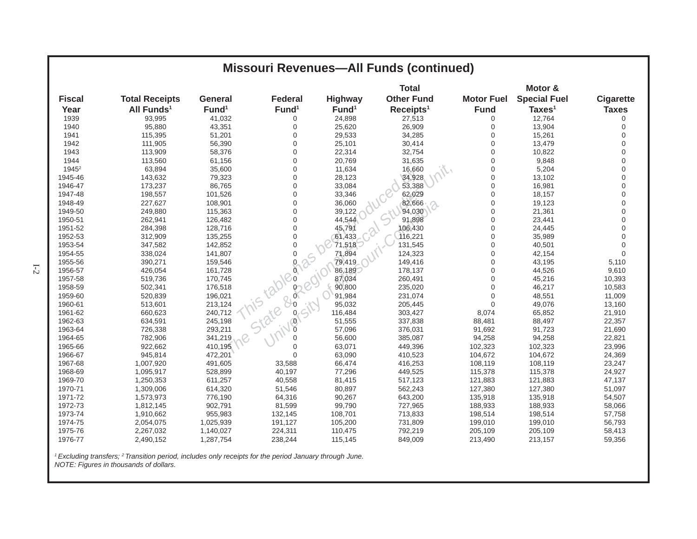|                   |                        |                   |                    |                   | <b>Missouri Revenues-All Funds (continued)</b> |                   |                     |                  |
|-------------------|------------------------|-------------------|--------------------|-------------------|------------------------------------------------|-------------------|---------------------|------------------|
|                   |                        |                   |                    |                   | <b>Total</b>                                   |                   | Motor &             |                  |
| <b>Fiscal</b>     | <b>Total Receipts</b>  | <b>General</b>    | <b>Federal</b>     | <b>Highway</b>    | <b>Other Fund</b>                              | <b>Motor Fuel</b> | <b>Special Fuel</b> | <b>Cigarette</b> |
| Year              | All Funds <sup>1</sup> | Fund <sup>1</sup> | Fund <sup>1</sup>  | Fund <sup>1</sup> | Receipts <sup>1</sup>                          | <b>Fund</b>       | Taxes <sup>1</sup>  | <b>Taxes</b>     |
| 1939              | 93,995                 | 41,032            | 0                  | 24,898            | 27,513                                         | 0                 | 12,764              | 0                |
| 1940              | 95,880                 | 43,351            | $\mathbf 0$        | 25,620            | 26,909                                         | 0                 | 13,904              | $\mathbf 0$      |
| 1941              | 115,395                | 51,201            | $\Omega$           | 29,533            | 34,285                                         | $\overline{0}$    | 15,261              | $\Omega$         |
| 1942              | 111,905                | 56,390            | $\Omega$           | 25,101            | 30,414                                         | $\overline{0}$    | 13,479              | $\overline{0}$   |
| 1943              | 113,909                | 58,376            | $\mathbf 0$        | 22,314            | 32,754                                         | $\overline{0}$    | 10,822              | $\overline{0}$   |
| 1944              | 113,560                | 61,156            | $\Omega$           | 20,769            | 31,635                                         | $\overline{0}$    | 9,848               | $\Omega$         |
| 1945 <sup>2</sup> | 63,894                 | 35,600            | $\overline{0}$     | 11,634            | 16,660                                         | 0                 | 5,204               | $\Omega$         |
| 1945-46           | 143,632                | 79,323            | $\overline{0}$     | 28,123            | 34,928                                         | $\overline{0}$    | 13,102              | $\Omega$         |
| 1946-47           | 173,237                | 86,765            | $\overline{0}$     | 33,084            | 53,388                                         | 0                 | 16,981              | $\Omega$         |
| 1947-48           | 198,557                | 101,526           | $\mathbf 0$        | 33,346            | 62,029                                         | 0                 | 18,157              | $\overline{0}$   |
| 1948-49           | 227,627                | 108,901           | $\overline{0}$     | 36,060            | 82,666                                         | $\overline{0}$    | 19,123              | $\Omega$         |
| 1949-50           | 249,880                | 115,363           | $\overline{0}$     | 39,122            | 94,030                                         | $\overline{0}$    | 21,361              | $\Omega$         |
| 1950-51           | 262,941                | 126,482           | $\mathbf 0$        | 44,544            | 91,898                                         | $\overline{0}$    | 23,441              | $\Omega$         |
| 1951-52           | 284,398                | 128,716           | $\Omega$           | 45,791            | 106,430                                        | $\overline{0}$    | 24,445              | $\Omega$         |
| 1952-53           | 312,909                | 135,255           | $\mathbf 0$        | 61,433            | 116,221                                        | 0                 | 35,989              | $\Omega$         |
| 1953-54           | 347,582                | 142,852           | $\Omega$           | 71,518            | 131,545                                        | 0                 | 40,501              | $\Omega$         |
| 1954-55           | 338,024                | 141,807           | $\mathbf 0$<br>-25 | 71,894            | 124,323                                        | $\overline{0}$    | 42,154              | $\Omega$         |
| 1955-56           | 390,271                | 159,546           | $\mathbf{Q}$       | 79,419            | 149,416                                        | $\overline{0}$    | 43,195              | 5,110            |
| 1956-57           | 426,054                | 161,728           | $\alpha$           | 86,189            | 178,137                                        | $\overline{0}$    | 44,526              | 9,610            |
| 1957-58           | 519,736                | 170,745           |                    | 87,034            | 260,491                                        | 0                 | 45,216              | 10,393           |
| 1958-59           | 502,341                | 176,518           |                    | 90,800            | 235,020                                        | $\Omega$          | 46,217              | 10,583           |
| 1959-60           | 520,839                | 196,021           | 2020               | 91,984            | 231,074                                        | $\overline{0}$    | 48,551              | 11,009           |
| 1960-61           | 513,601                | 213,124           | 91518              | 95,032            | 205,445                                        | $\Omega$          | 49,076              | 13,160           |
| 1961-62           | 660,623                | 240,712           |                    | 116,484           | 303,427                                        | 8,074             | 65,852              | 21,910           |
| 1962-63           | 634,591                | 245,198           | $\overline{0}$     | 51,555            | 337,838                                        | 88,481            | 88,497              | 22,357           |
| 1963-64           | 726,338                | 293,211           |                    | 57,096            | 376,031                                        | 91,692            | 91,723              | 21,690           |
| 1964-65           | 782,906                | 341,219           | $\Omega$           | 56,600            | 385,087                                        | 94,258            | 94,258              | 22,821           |
| 1965-66           | 922,662                | 410,195           | $\Omega$           | 63,071            | 449,396                                        | 102,323           | 102,323             | 23,996           |
| 1966-67           | 945,814                | 472,201           | $\Omega$           | 63,090            | 410,523                                        | 104,672           | 104,672             | 24,369           |
| 1967-68           | 1,007,920              | 491,605           | 33,588             | 66,474            | 416,253                                        | 108,119           | 108,119             | 23,247           |
| 1968-69           | 1,095,917              | 528,899           | 40,197             | 77,296            | 449,525                                        | 115,378           | 115,378             | 24,927           |
| 1969-70           | 1,250,353              | 611,257           | 40,558             | 81,415            | 517,123                                        | 121,883           | 121,883             | 47,137           |
| 1970-71           | 1,309,006              | 614,320           | 51,546             | 80,897            | 562,243                                        | 127,380           | 127,380             | 51,097           |
| 1971-72           | 1,573,973              | 776,190           | 64,316             | 90,267            | 643,200                                        | 135,918           | 135,918             | 54,507           |
| 1972-73           | 1,812,145              | 902,791           | 81,599             | 99,790            | 727,965                                        | 188,933           | 188,933             | 58,066           |
| 1973-74           | 1,910,662              | 955,983           | 132,145            | 108,701           | 713,833                                        | 198,514           | 198,514             | 57,758           |
| 1974-75           | 2,054,075              | 1,025,939         | 191,127            | 105,200           | 731,809                                        | 199,010           | 199,010             | 56,793           |
| 1975-76           | 2,267,032              | 1,140,027         | 224,311            | 110,475           | 792,219                                        | 205,109           | 205,109             | 58,413           |
| 1976-77           | 2,490,152              | 1,287,754         | 238,244            | 115,145           | 849,009                                        | 213,490           | 213,157             | 59,356           |

*1 Excluding transfers; 2 Transition period, includes only receipts for the period January through June.*

 *NOTE: Figures in thousands of dollars.*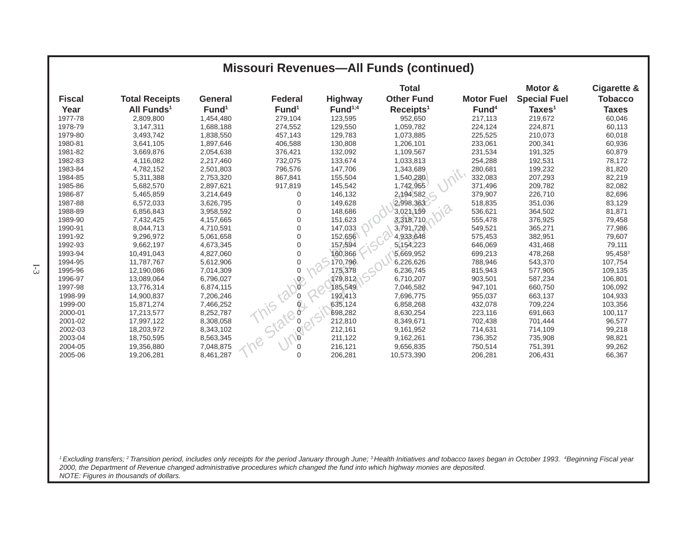|                |                        |                   |                   |                     | <b>Missouri Revenues-All Funds (continued)</b> |                   |                                |                               |
|----------------|------------------------|-------------------|-------------------|---------------------|------------------------------------------------|-------------------|--------------------------------|-------------------------------|
| <b>Fiscal</b>  | <b>Total Receipts</b>  | <b>General</b>    | <b>Federal</b>    | <b>Highway</b>      | <b>Total</b><br><b>Other Fund</b>              | <b>Motor Fuel</b> | Motor &<br><b>Special Fuel</b> | Cigarette &<br><b>Tobacco</b> |
| Year           | All Funds <sup>1</sup> | Fund <sup>1</sup> | Fund <sup>1</sup> | Fund <sup>1;4</sup> | Receipts <sup>1</sup>                          | Fund <sup>4</sup> | Taxes <sup>1</sup>             | <b>Taxes</b>                  |
| 1977-78        | 2,809,800              | 1,454,480         | 279,104           | 123,595             | 952,650                                        | 217,113           | 219,672                        | 60,046                        |
| 1978-79        | 3,147,311              | 1,688,188         | 274,552           | 129,550             | 1,059,782                                      | 224,124           | 224,871                        | 60,113                        |
| 1979-80        | 3,493,742              | 1,838,550         | 457,143           | 129,783             | 1,073,885                                      | 225,525           | 210,073                        | 60,018                        |
| 1980-81        | 3,641,105              | 1,897,646         | 406,588           | 130,808             | 1,206,101                                      | 233,061           | 200,341                        | 60,936                        |
| 1981-82        | 3,669,876              | 2,054,638         | 376,421           | 132,092             | 1,109,567                                      | 231,534           | 191,325                        | 60,879                        |
| 1982-83        | 4,116,082              | 2,217,460         | 732,075           | 133,674             | 1,033,813                                      | 254,288           | 192,531                        | 78,172                        |
| 1983-84        | 4,782,152              | 2,501,803         | 796,576           | 147,706             | 1,343,689                                      | 280,681           | 199,232                        | 81,820                        |
| 1984-85        | 5,311,388              | 2,753,320         | 867,841           | 155,504             | 1,540,280                                      | 332,083           | 207,293                        | 82,219                        |
| 1985-86        | 5,682,570              | 2,897,621         | 917,819           | 145,542             | 1,742,955                                      | 371,496           | 209,782                        | 82,082                        |
| 1986-87        | 5,465,859              | 3,214,649         | $\Omega$          | 146,132             | 2,194,582                                      | 379,907           | 226,710                        | 82,696                        |
| 1987-88        | 6,572,033              | 3,626,795         | $\Omega$          | 149,628             | 2,998,363                                      | 518,835           | 351,036                        | 83,129                        |
| 1988-89        | 6,856,843              | 3,958,592         | 0                 | 148,686             | 3,021,159                                      | 536,621           | 364,502                        | 81,871                        |
| 1989-90        | 7,432,425              | 4,157,665         | $\Omega$          | 151,623             | 3,318,710                                      | 555,478           | 376,925                        | 79,458                        |
| 1990-91        | 8,044,713              | 4,710,591         | $\Omega$          | 147,033             | 3,791,728                                      | 549,521           | 365,271                        | 77,986                        |
| 1991-92        | 9,296,972              | 5,061,658         |                   | 152,656             | 4,933,648                                      | 575,453           | 382,951                        | 79,607                        |
| 1992-93        | 9,662,197              | 4,673,345         |                   | 157,594             | 5,154,223                                      | 646,069           | 431,468                        | 79,111                        |
| 1993-94        | 10,491,043             | 4,827,060         |                   | 160,866             | 5,669,952                                      | 699,213           | 478,268                        | 95,4583                       |
| 1994-95        | 11,787,767             | 5,612,906         |                   | 170,796             | 6,226,626                                      | 788,946           | 543,370                        | 107,754                       |
| 1-3<br>1995-96 | 12,190,086             | 7,014,309         |                   | 175,378             | 6,236,745                                      | 815,943           | 577,905                        | 109,135                       |
| 1996-97        | 13,089,064             | 6,796,027         | $\circ$           | 179,812             | 6,710,207                                      | 903,501           | 587,234                        | 106,801                       |
| 1997-98        | 13,776,314             | 6,874,115         |                   | 185,549             | 7,046,582                                      | 947,101           | 660,750                        | 106,092                       |
| 1998-99        | 14,900,837             | 7,206,246         |                   | 192,413             | 7,696,775                                      | 955,037           | 663,137                        | 104,933                       |
| 1999-00        | 15,871,274             | 7,466,252         |                   | 635,124             | 6,858,268                                      | 432,078           | 709,224                        | 103,356                       |
| 2000-01        | 17,213,577             | 8,252,787         |                   | 698,282             | 8,630,254                                      | 223,116           | 691,663                        | 100,117                       |
| 2001-02        | 17,997,122             | 8,308,058         |                   | 212,810             | 8,349,671                                      | 702,438           | 701,444                        | 96,577                        |
| 2002-03        | 18,203,972             | 8,343,102         |                   | 212,161             | 9,161,952                                      | 714,631           | 714,109                        | 99,218                        |
| 2003-04        | 18,750,595             | 8,563,345         |                   | 211,122             | 9,162,261                                      | 736,352           | 735,908                        | 98,821                        |
| 2004-05        | 19,356,880             | 7,048,875         |                   | 216,121             | 9,656,835                                      | 750,514           | 751,391                        | 99,262                        |
| 2005-06        | 19,206,281             | 8,461,287         | $\Omega$          | 206,281             | 10,573,390                                     | 206,281           | 206,431                        | 66,367                        |

*1 Excluding transfers; 2 Transition period, includes only receipts for the period January through June; 3 Health Initiatives and tobacco taxes began in October 1993. 4Beginning Fiscal year 2000, the Department of Revenue changed administrative procedures which changed the fund into which highway monies are deposited. NOTE: Figures in thousands of dollars.*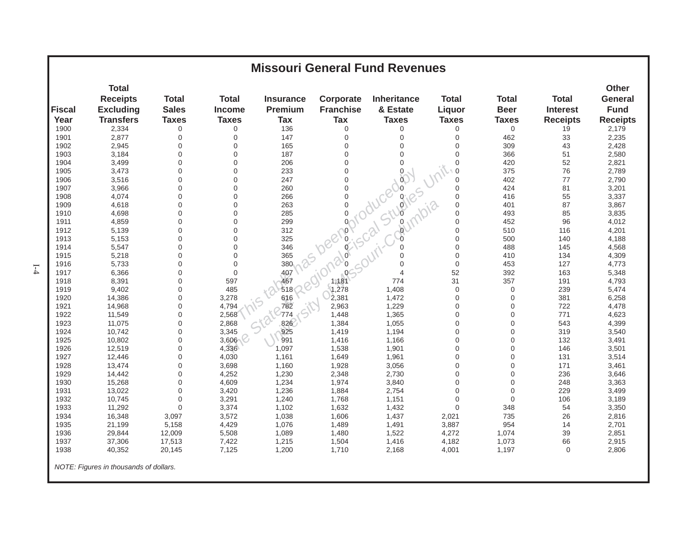| <b>Missouri General Fund Revenues</b> |                                                     |                              |                               |                             |                               |                                |                        |                             |                                 |                                               |
|---------------------------------------|-----------------------------------------------------|------------------------------|-------------------------------|-----------------------------|-------------------------------|--------------------------------|------------------------|-----------------------------|---------------------------------|-----------------------------------------------|
| <b>Fiscal</b>                         | <b>Total</b><br><b>Receipts</b><br><b>Excluding</b> | <b>Total</b><br><b>Sales</b> | <b>Total</b><br><b>Income</b> | <b>Insurance</b><br>Premium | Corporate<br><b>Franchise</b> | <b>Inheritance</b><br>& Estate | <b>Total</b><br>Liquor | <b>Total</b><br><b>Beer</b> | <b>Total</b><br><b>Interest</b> | <b>Other</b><br><b>General</b><br><b>Fund</b> |
| Year                                  | <b>Transfers</b>                                    | <b>Taxes</b>                 | <b>Taxes</b>                  | <b>Tax</b>                  | <b>Tax</b>                    | <b>Taxes</b>                   | <b>Taxes</b>           | <b>Taxes</b>                | <b>Receipts</b>                 | <b>Receipts</b>                               |
| 1900                                  | 2,334                                               | 0                            | $\mathbf 0$                   | 136                         | $\mathbf 0$                   | $\mathbf 0$                    | $\mathbf 0$            | $\mathbf 0$                 | 19                              | 2,179                                         |
| 1901                                  | 2,877                                               | 0                            | $\boldsymbol{0}$              | 147                         | $\mathbf 0$                   | 0                              | $\mathbf 0$            | 462                         | 33                              | 2,235                                         |
| 1902                                  | 2.945                                               | $\mathbf 0$                  | $\mathbf 0$                   |                             |                               |                                |                        | 309                         | 43                              | 2,428                                         |
| 1903                                  | 3,184                                               | $\Omega$                     | $\Omega$                      |                             |                               |                                |                        | 366                         | 51                              | 2,580                                         |
| 1904                                  | 3,499                                               | $\mathbf 0$                  | $\mathbf 0$                   |                             |                               |                                |                        | 420                         | 52                              | 2,821                                         |
| 1905                                  | 3,473                                               | $\Omega$                     | $\mathbf 0$                   |                             |                               |                                |                        | 375                         | 76                              | 2,789                                         |
| 1906                                  | 3,516                                               | $\mathbf 0$                  | $\mathbf 0$                   |                             |                               |                                |                        | 402                         | 77                              | 2,790                                         |
| 1907                                  | 3,966                                               | $\Omega$                     | $\mathbf 0$                   |                             |                               |                                |                        | 424                         | 81                              | 3,201                                         |
| 1908                                  | 4,074                                               | $\Omega$                     | $\mathbf 0$                   |                             |                               |                                |                        | 416                         | 55                              | 3,337                                         |
| 1909                                  | 4,618                                               | $\Omega$                     | $\Omega$                      |                             |                               |                                |                        | 401                         | 87                              | 3,867                                         |
| 1910                                  | 4,698                                               | $\Omega$                     | $\mathbf 0$                   |                             |                               |                                |                        | 493                         | 85                              | 3,835                                         |
| 1911                                  | 4,859                                               | $\Omega$                     | $\Omega$                      |                             |                               |                                |                        | 452                         | 96                              | 4,012                                         |
| 1912                                  | 5,139                                               | $\mathbf 0$                  | $\mathbf 0$                   |                             |                               |                                |                        | 510                         | 116                             | 4,201                                         |
| 1913                                  | 5,153                                               | $\Omega$                     | $\mathbf 0$                   |                             |                               |                                |                        | 500                         | 140                             | 4,188                                         |
| 1914                                  | 5,547                                               | $\overline{0}$               | $\overline{0}$                |                             |                               |                                |                        | 488                         | 145                             | 4,568                                         |
| 1915                                  | 5,218                                               | $\Omega$                     | $\Omega$                      |                             |                               |                                |                        | 410                         | 134                             | 4,309                                         |
| 1916                                  | 5,733                                               | $\Omega$                     | $\mathbf 0$                   |                             |                               |                                |                        | 453                         | 127                             | 4,773                                         |
| 1917                                  | 6,366                                               | $\Omega$                     | $\mathbf 0$                   |                             |                               |                                |                        | 392                         | 163                             | 5,348                                         |
| 1918                                  | 8,391                                               | $\mathbf 0$                  | 597                           |                             |                               |                                |                        | 357                         | 191                             | 4,793                                         |
| 1919                                  | 9,402                                               | $\mathbf 0$                  | 485                           |                             |                               |                                |                        | $\mathbf 0$                 | 239                             | 5,474                                         |
| 1920                                  | 14,386                                              | 0                            | 3,278                         | 616                         | 2,381                         | 1,472                          | $\mathbf 0$            | 0                           | 381                             | 6,258                                         |
| 1921                                  | 14,968                                              | $\overline{0}$               | 4,794                         | 782                         | 2,963                         | 1,229                          | $\mathbf 0$            | 0                           | 722                             | 4,478                                         |
| 1922                                  | 11,549                                              | $\Omega$                     | 2,568                         | 774                         | 1,448                         | 1,365                          | $\mathbf 0$            | 0                           | 771                             | 4,623                                         |
| 1923                                  | 11,075                                              | $\mathbf 0$                  | 2,868                         | 826                         | 1,384                         | 1,055                          | $\mathbf 0$            | 0                           | 543                             | 4,399                                         |
| 1924                                  | 10,742                                              | $\mathbf 0$                  | 3,345                         | 925                         | 1,419                         | 1,194                          | $\mathbf 0$            | 0                           | 319                             | 3,540                                         |
| 1925                                  | 10,802                                              | $\mathbf 0$                  | 3,606                         | 991                         | 1,416                         | 1,166                          | $\mathbf 0$            | 0                           | 132                             | 3,491                                         |
| 1926                                  | 12,519                                              | $\mathbf 0$                  | 4,336                         | 1,097                       | 1,538                         | 1,901                          | $\mathbf 0$            | 0                           | 146                             | 3,501                                         |
| 1927                                  | 12,446                                              | $\mathbf 0$                  | 4,030                         | 1,161                       | 1,649                         | 1,961                          | $\mathbf 0$            | 0                           | 131                             | 3,514                                         |
| 1928                                  | 13,474                                              | 0                            | 3,698                         | 1,160                       | 1,928                         | 3,056                          | $\mathbf 0$            | 0                           | 171                             | 3,461                                         |
| 1929                                  | 14,442                                              | 0                            | 4,252                         | 1,230                       | 2,348                         | 2,730                          | $\mathbf 0$            | 0                           | 236                             | 3,646                                         |
| 1930                                  | 15,268                                              | $\Omega$                     | 4,609                         | 1,234                       | 1,974                         | 3,840                          | $\Omega$               | $\Omega$                    | 248                             | 3,363                                         |
| 1931                                  | 13,022                                              | $\Omega$                     | 3,420                         | 1,236                       | 1,884                         | 2,754                          | $\mathbf 0$            | 0                           | 229                             | 3,499                                         |
| 1932                                  | 10,745                                              | $\mathbf 0$                  | 3,291                         | 1,240                       | 1,768                         | 1,151                          | $\overline{0}$         | 0                           | 106                             | 3,189                                         |
| 1933                                  | 11,292                                              | $\mathbf 0$                  | 3,374                         | 1,102                       | 1,632                         | 1,432                          | $\mathbf 0$            | 348                         | 54                              | 3,350                                         |
| 1934                                  | 16,348                                              | 3,097                        | 3,572                         | 1,038                       | 1,606                         | 1,437                          | 2,021                  | 735                         | 26                              | 2,816                                         |
| 1935                                  | 21,199                                              | 5,158                        | 4,429                         | 1,076                       | 1,489                         | 1,491                          | 3,887                  | 954                         | 14                              | 2,701                                         |
| 1936                                  | 29,844                                              | 12,009                       | 5,508                         | 1,089                       | 1,480                         | 1,522                          | 4,272                  | 1,074                       | 39                              | 2,851                                         |
| 1937                                  | 37,306                                              | 17,513                       | 7,422                         | 1,215                       | 1,504                         | 1,416                          | 4,182                  | 1,073                       | 66                              | 2,915                                         |
| 1938                                  | 40,352                                              | 20,145                       | 7,125                         | 1,200                       | 1,710                         | 2,168                          | 4,001                  | 1,197                       | $\mathbf 0$                     | 2,806                                         |
|                                       | NOTE: Figures in thousands of dollars.              |                              |                               |                             |                               |                                |                        |                             |                                 |                                               |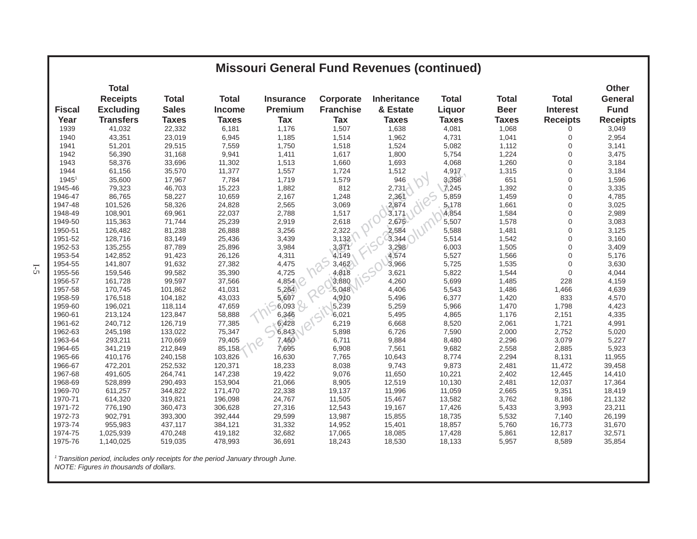|               | <b>Missouri General Fund Revenues (continued)</b> |              |               |                  |                  |              |              |              |                 |                                |
|---------------|---------------------------------------------------|--------------|---------------|------------------|------------------|--------------|--------------|--------------|-----------------|--------------------------------|
|               | <b>Total</b><br><b>Receipts</b>                   | <b>Total</b> | <b>Total</b>  | <b>Insurance</b> | Corporate        | Inheritance  | <b>Total</b> | <b>Total</b> | <b>Total</b>    | <b>Other</b><br><b>General</b> |
| <b>Fiscal</b> | <b>Excluding</b>                                  | <b>Sales</b> | <b>Income</b> | Premium          | <b>Franchise</b> | & Estate     |              | <b>Beer</b>  | <b>Interest</b> | <b>Fund</b>                    |
|               |                                                   |              |               |                  |                  |              | Liquor       |              |                 |                                |
| Year          | <b>Transfers</b>                                  | <b>Taxes</b> | <b>Taxes</b>  | <b>Tax</b>       | <b>Tax</b>       | <b>Taxes</b> | <b>Taxes</b> | <b>Taxes</b> | <b>Receipts</b> | <b>Receipts</b>                |
| 1939          | 41,032                                            | 22,332       | 6,181         | 1,176            | 1,507            | 1,638        | 4,081        | 1,068        | 0               | 3,049                          |
| 1940          | 43,351                                            | 23,019       | 6,945         | 1,185            | 1,514            | 1,962        | 4,731        | 1,041        | $\mathbf 0$     | 2,954                          |
| 1941          | 51,201                                            | 29,515       | 7,559         | 1,750            | 1,518            | 1,524        | 5,082        | 1,112        | $\Omega$        | 3,141                          |
| 1942          | 56,390                                            | 31,168       | 9,941         | 1,411            | 1,617            | 1,800        | 5,754        | 1,224        | $\mathbf 0$     | 3,475                          |
| 1943          | 58,376                                            | 33,696       | 11,302        | 1,513            | 1,660            | 1,693        | 4,068        | 1,260        | 0               | 3,184                          |
| 1944          | 61,156                                            | 35,570       | 11,377        | 1,557            | 1,724            | 1,512        | 4,917        | 1,315        | 0               | 3,184                          |
| 19451         | 35,600                                            | 17,967       | 7,784         | 1,719            | 1,579            | 946          | 3,358        | 651          | $\mathbf 0$     | 1,596                          |
| 1945-46       | 79,323                                            | 46,703       | 15,223        | 1,882            | 812              | 2,731        | 7,245        | 1,392        | $\Omega$        | 3,335                          |
| 1946-47       | 86,765                                            | 58,227       | 10,659        | 2,167            | 1,248            | 2,361        | 5,859        | 1,459        | 0               | 4,785                          |
| 1947-48       | 101,526                                           | 58,326       | 24,828        | 2,565            | 3,069            | 2,874        | 5,178        | 1,661        | $\Omega$        | 3,025                          |
| 1948-49       | 108,901                                           | 69,961       | 22,037        | 2,788            | 1,517            | 3,171        | 4,854        | 1,584        | $\mathbf 0$     | 2,989                          |
| 1949-50       | 115,363                                           | 71,744       | 25,239        | 2,919            | 2,618            | 2,675        | 5,507        | 1,578        | $\mathbf 0$     | 3,083                          |
| 1950-51       | 126,482                                           | 81,238       | 26,888        | 3,256            | 2,322            | 2,584        | 5,588        | 1,481        | $\mathbf 0$     | 3,125                          |
| 1951-52       | 128,716                                           | 83,149       | 25,436        | 3,439            | 3,132            | 3,344        | 5,514        | 1,542        | 0               | 3,160                          |
| 1952-53       | 135,255                                           | 87,789       | 25,896        | 3,984            | 3,371            | 3,298        | 6,003        | 1,505        | 0               | 3,409                          |
| 1953-54       | 142,852                                           | 91,423       | 26,126        | 4,311            | 4,149            | 4,574        | 5,527        | 1,566        | $\Omega$        | 5,176                          |
| 1954-55       | 141,807                                           | 91,632       | 27,382        | 4,475            | 3,462            | 3,966        | 5,725        | 1,535        | $\Omega$        | 3,630                          |
| 1955-56       | 159,546                                           | 99,582       | 35,390        | 4,725            | 4,818            | 3,621        | 5,822        | 1,544        | $\Omega$        | 4,044                          |
| 1956-57       | 161,728                                           | 99,597       | 37,566        | 4,854            | 3,880            | 4,260        | 5,699        | 1,485        | 228             | 4,159                          |
| 1957-58       | 170,745                                           | 101,862      | 41,031        | 5,264            | 5,048            | 4,406        | 5,543        | 1,486        | 1,466           | 4,639                          |
| 1958-59       | 176,518                                           | 104,182      | 43,033        | 5,697            | 4,910            | 5,496        | 6,377        | 1,420        | 833             | 4,570                          |
| 1959-60       | 196,021                                           | 118,114      | 47,659        | $6,093$ $+$      | 5,239            | 5,259        | 5,966        | 1,470        | 1,798           | 4,423                          |
| 1960-61       | 213,124                                           | 123,847      | 58,888        | 6,346            | 6,021            | 5,495        | 4,865        | 1,176        | 2,151           | 4,335                          |
| 1961-62       | 240,712                                           | 126,719      | 77,385        | 6,428            | 6,219            | 6,668        | 8,520        | 2,061        | 1,721           | 4,991                          |
| 1962-63       | 245,198                                           | 133,022      | 75,347        | 6,843            | 5,898            | 6,726        | 7,590        | 2,000        | 2,752           | 5,020                          |
| 1963-64       | 293,211                                           | 170,669      | 79,405        | 7,460            | 6,711            | 9,884        | 8,480        | 2,296        | 3,079           | 5,227                          |
| 1964-65       | 341,219                                           | 212,849      | 85,158        | 7,695            | 6,908            | 7,561        | 9,682        | 2,558        | 2,885           | 5,923                          |
| 1965-66       | 410,176                                           | 240,158      | 103,826       | 16,630           | 7,765            | 10,643       | 8,774        | 2,294        | 8,131           | 11,955                         |
| 1966-67       | 472,201                                           |              | 120,371       | 18,233           | 8,038            | 9,743        | 9,873        | 2,481        | 11,472          |                                |
| 1967-68       |                                                   | 252,532      | 147,238       |                  |                  |              |              |              |                 | 39,458                         |
|               | 491,605                                           | 264,741      |               | 19,422           | 9,076            | 11,650       | 10,221       | 2,402        | 12,445          | 14,410                         |
| 1968-69       | 528,899                                           | 290,493      | 153,904       | 21,066           | 8,905            | 12,519       | 10,130       | 2,481        | 12,037          | 17,364                         |
| 1969-70       | 611,257                                           | 344,822      | 171,470       | 22,338           | 19,137           | 11,996       | 11,059       | 2,665        | 9,351           | 18,419                         |
| 1970-71       | 614,320                                           | 319,821      | 196,098       | 24,767           | 11,505           | 15,467       | 13,582       | 3,762        | 8,186           | 21,132                         |
| 1971-72       | 776,190                                           | 360,473      | 306,628       | 27,316           | 12,543           | 19,167       | 17,426       | 5,433        | 3,993           | 23,211                         |
| 1972-73       | 902,791                                           | 393,300      | 392,444       | 29,599           | 13,987           | 15,855       | 18,735       | 5,532        | 7,140           | 26,199                         |
| 1973-74       | 955,983                                           | 437,117      | 384,121       | 31,332           | 14,952           | 15,401       | 18,857       | 5,760        | 16,773          | 31,670                         |
| 1974-75       | 1,025,939                                         | 470,248      | 419,182       | 32,682           | 17,065           | 18,085       | 17,428       | 5,861        | 12,817          | 32,571                         |
| 1975-76       | 1,140,025                                         | 519,035      | 478,993       | 36,691           | 18,243           | 18,530       | 18,133       | 5,957        | 8,589           | 35,854                         |

*1 Transition period, includes only receipts for the period January through June. NOTE: Figures in thousands of dollars.*